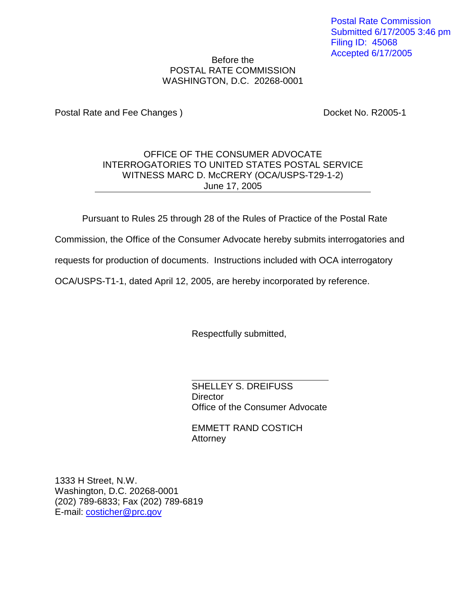Postal Rate Commission Submitted 6/17/2005 3:46 pm Filing ID: 45068 Accepted 6/17/2005

## Before the POSTAL RATE COMMISSION WASHINGTON, D.C. 20268-0001

Postal Rate and Fee Changes ) Docket No. R2005-1

## OFFICE OF THE CONSUMER ADVOCATE INTERROGATORIES TO UNITED STATES POSTAL SERVICE WITNESS MARC D. McCRERY (OCA/USPS-T29-1-2) June 17, 2005

Pursuant to Rules 25 through 28 of the Rules of Practice of the Postal Rate

Commission, the Office of the Consumer Advocate hereby submits interrogatories and

requests for production of documents. Instructions included with OCA interrogatory

OCA/USPS-T1-1, dated April 12, 2005, are hereby incorporated by reference.

Respectfully submitted,

SHELLEY S. DREIFUSS **Director** Office of the Consumer Advocate

EMMETT RAND COSTICH **Attorney** 

1333 H Street, N.W. Washington, D.C. 20268-0001 (202) 789-6833; Fax (202) 789-6819 E-mail: costicher@prc.gov